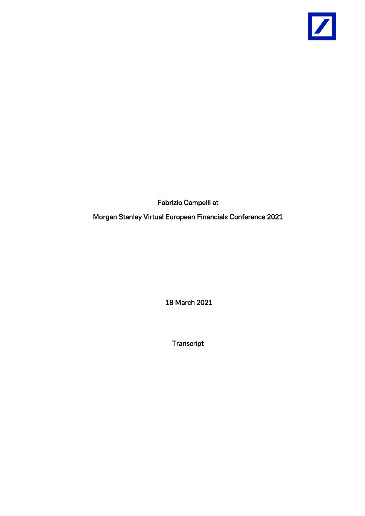

Fabrizio Campelli at

Morgan Stanley Virtual European Financials Conference 2021

18 March 2021

Transcript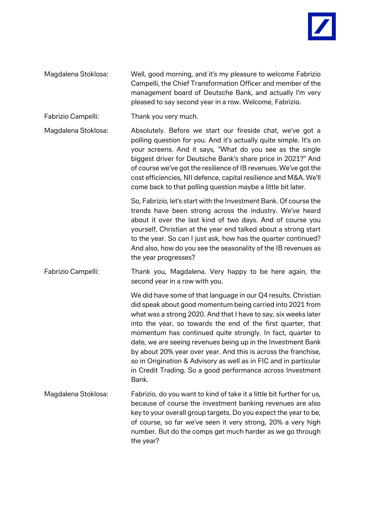

- Magdalena Stoklosa: Well, good morning, and it's my pleasure to welcome Fabrizio Campelli, the Chief Transformation Officer and member of the management board of Deutsche Bank, and actually I'm very pleased to say second year in a row. Welcome, Fabrizio.
- Fabrizio Campelli: Thank you very much.

Magdalena Stoklosa: Absolutely. Before we start our fireside chat, we've got a polling question for you. And it's actually quite simple. It's on your screens. And it says, "What do you see as the single biggest driver for Deutsche Bank's share price in 2021?" And of course we've got the resilience of IB revenues. We've got the cost efficiencies, NII defence, capital resilience and M&A. We'll come back to that polling question maybe a little bit later.

> So, Fabrizio, let's start with the Investment Bank. Of course the trends have been strong across the industry. We've heard about it over the last kind of two days. And of course you yourself, Christian at the year end talked about a strong start to the year. So can I just ask, how has the quarter continued? And also, how do you see the seasonality of the IB revenues as the year progresses?

Fabrizio Campelli: Thank you, Magdalena. Very happy to be here again, the second year in a row with you.

We did have some of that language in our Q4 results. Christian did speak about good momentum being carried into 2021 from what was a strong 2020. And that I have to say, six weeks later into the year, so towards the end of the first quarter, that momentum has continued quite strongly. In fact, quarter to date, we are seeing revenues being up in the Investment Bank by about 20% year over year. And this is across the franchise, so in Origination & Advisory as well as in FIC and in particular in Credit Trading. So a good performance across Investment Bank.

Magdalena Stoklosa: Fabrizio, do you want to kind of take it a little bit further for us, because of course the investment banking revenues are also key to your overall group targets. Do you expect the year to be, of course, so far we've seen it very strong, 20% a very high number. But do the comps get much harder as we go through the year?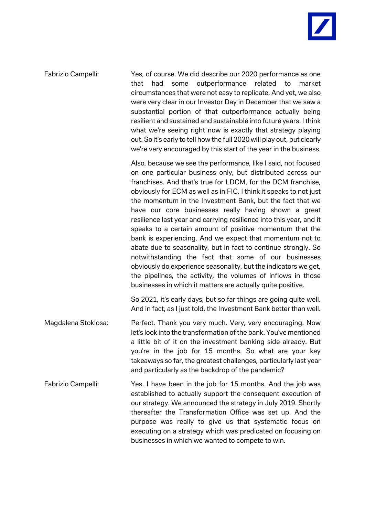Fabrizio Campelli: Yes, of course. We did describe our 2020 performance as one that had some outperformance related to market circumstances that were not easy to replicate. And yet, we also were very clear in our Investor Day in December that we saw a substantial portion of that outperformance actually being resilient and sustained and sustainable into future years. I think what we're seeing right now is exactly that strategy playing out. So it's early to tell how the full 2020 will play out, but clearly we're very encouraged by this start of the year in the business. Also, because we see the performance, like I said, not focused on one particular business only, but distributed across our franchises. And that's true for LDCM, for the DCM franchise, obviously for ECM as well as in FIC. I think it speaks to not just

the momentum in the Investment Bank, but the fact that we have our core businesses really having shown a great resilience last year and carrying resilience into this year, and it speaks to a certain amount of positive momentum that the bank is experiencing. And we expect that momentum not to abate due to seasonality, but in fact to continue strongly. So notwithstanding the fact that some of our businesses obviously do experience seasonality, but the indicators we get, the pipelines, the activity, the volumes of inflows in those businesses in which it matters are actually quite positive.

So 2021, it's early days, but so far things are going quite well. And in fact, as I just told, the Investment Bank better than well.

- Magdalena Stoklosa: Perfect. Thank you very much. Very, very encouraging. Now let's look into the transformation of the bank. You've mentioned a little bit of it on the investment banking side already. But you're in the job for 15 months. So what are your key takeaways so far, the greatest challenges, particularly last year and particularly as the backdrop of the pandemic?
- Fabrizio Campelli: Yes. I have been in the job for 15 months. And the job was established to actually support the consequent execution of our strategy. We announced the strategy in July 2019. Shortly thereafter the Transformation Office was set up. And the purpose was really to give us that systematic focus on executing on a strategy which was predicated on focusing on businesses in which we wanted to compete to win.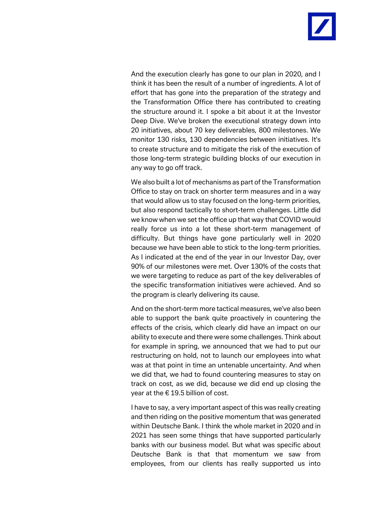And the execution clearly has gone to our plan in 2020, and I think it has been the result of a number of ingredients. A lot of effort that has gone into the preparation of the strategy and the Transformation Office there has contributed to creating the structure around it. I spoke a bit about it at the Investor Deep Dive. We've broken the executional strategy down into 20 initiatives, about 70 key deliverables, 800 milestones. We monitor 130 risks, 130 dependencies between initiatives. It's to create structure and to mitigate the risk of the execution of those long-term strategic building blocks of our execution in any way to go off track.

We also built a lot of mechanisms as part of the Transformation Office to stay on track on shorter term measures and in a way that would allow us to stay focused on the long-term priorities, but also respond tactically to short-term challenges. Little did we know when we set the office up that way that COVID would really force us into a lot these short-term management of difficulty. But things have gone particularly well in 2020 because we have been able to stick to the long-term priorities. As I indicated at the end of the year in our Investor Day, over 90% of our milestones were met. Over 130% of the costs that we were targeting to reduce as part of the key deliverables of the specific transformation initiatives were achieved. And so the program is clearly delivering its cause.

And on the short-term more tactical measures, we've also been able to support the bank quite proactively in countering the effects of the crisis, which clearly did have an impact on our ability to execute and there were some challenges. Think about for example in spring, we announced that we had to put our restructuring on hold, not to launch our employees into what was at that point in time an untenable uncertainty. And when we did that, we had to found countering measures to stay on track on cost, as we did, because we did end up closing the year at the  $\epsilon$  19.5 billion of cost.

I have to say, a very important aspect of this was really creating and then riding on the positive momentum that was generated within Deutsche Bank. I think the whole market in 2020 and in 2021 has seen some things that have supported particularly banks with our business model. But what was specific about Deutsche Bank is that that momentum we saw from employees, from our clients has really supported us into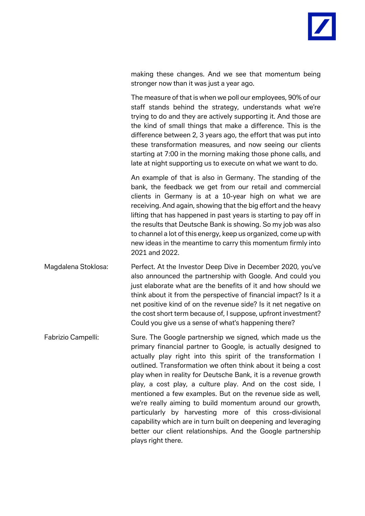making these changes. And we see that momentum being stronger now than it was just a year ago.

The measure of that is when we poll our employees, 90% of our staff stands behind the strategy, understands what we're trying to do and they are actively supporting it. And those are the kind of small things that make a difference. This is the difference between 2, 3 years ago, the effort that was put into these transformation measures, and now seeing our clients starting at 7:00 in the morning making those phone calls, and late at night supporting us to execute on what we want to do.

An example of that is also in Germany. The standing of the bank, the feedback we get from our retail and commercial clients in Germany is at a 10-year high on what we are receiving. And again, showing that the big effort and the heavy lifting that has happened in past years is starting to pay off in the results that Deutsche Bank is showing. So my job was also to channel a lot of this energy, keep us organized, come up with new ideas in the meantime to carry this momentum firmly into 2021 and 2022.

Magdalena Stoklosa: Perfect. At the Investor Deep Dive in December 2020, you've also announced the partnership with Google. And could you just elaborate what are the benefits of it and how should we think about it from the perspective of financial impact? Is it a net positive kind of on the revenue side? Is it net negative on the cost short term because of, I suppose, upfront investment? Could you give us a sense of what's happening there?

Fabrizio Campelli: Sure. The Google partnership we signed, which made us the primary financial partner to Google, is actually designed to actually play right into this spirit of the transformation I outlined. Transformation we often think about it being a cost play when in reality for Deutsche Bank, it is a revenue growth play, a cost play, a culture play. And on the cost side, I mentioned a few examples. But on the revenue side as well, we're really aiming to build momentum around our growth, particularly by harvesting more of this cross-divisional capability which are in turn built on deepening and leveraging better our client relationships. And the Google partnership plays right there.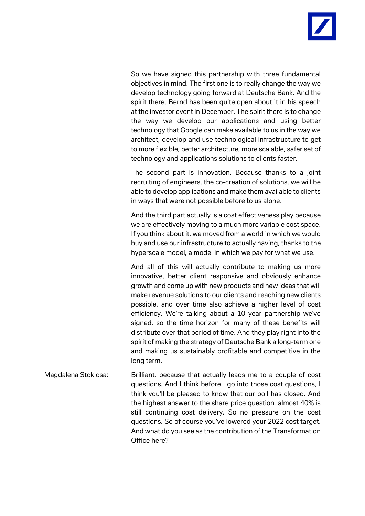

So we have signed this partnership with three fundamental objectives in mind. The first one is to really change the way we develop technology going forward at Deutsche Bank. And the spirit there, Bernd has been quite open about it in his speech at the investor event in December. The spirit there is to change the way we develop our applications and using better technology that Google can make available to us in the way we architect, develop and use technological infrastructure to get to more flexible, better architecture, more scalable, safer set of technology and applications solutions to clients faster.

The second part is innovation. Because thanks to a joint recruiting of engineers, the co-creation of solutions, we will be able to develop applications and make them available to clients in ways that were not possible before to us alone.

And the third part actually is a cost effectiveness play because we are effectively moving to a much more variable cost space. If you think about it, we moved from a world in which we would buy and use our infrastructure to actually having, thanks to the hyperscale model, a model in which we pay for what we use.

And all of this will actually contribute to making us more innovative, better client responsive and obviously enhance growth and come up with new products and new ideas that will make revenue solutions to our clients and reaching new clients possible, and over time also achieve a higher level of cost efficiency. We're talking about a 10 year partnership we've signed, so the time horizon for many of these benefits will distribute over that period of time. And they play right into the spirit of making the strategy of Deutsche Bank a long-term one and making us sustainably profitable and competitive in the long term.

Magdalena Stoklosa: Brilliant, because that actually leads me to a couple of cost questions. And I think before I go into those cost questions, I think you'll be pleased to know that our poll has closed. And the highest answer to the share price question, almost 40% is still continuing cost delivery. So no pressure on the cost questions. So of course you've lowered your 2022 cost target. And what do you see as the contribution of the Transformation Office here?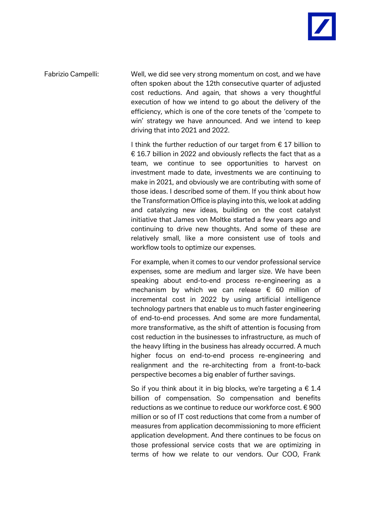

Fabrizio Campelli: Well, we did see very strong momentum on cost, and we have often spoken about the 12th consecutive quarter of adjusted cost reductions. And again, that shows a very thoughtful execution of how we intend to go about the delivery of the efficiency, which is one of the core tenets of the 'compete to win' strategy we have announced. And we intend to keep driving that into 2021 and 2022.

> I think the further reduction of our target from  $\epsilon$  17 billion to € 16.7 billion in 2022 and obviously reflects the fact that as a team, we continue to see opportunities to harvest on investment made to date, investments we are continuing to make in 2021, and obviously we are contributing with some of those ideas. I described some of them. If you think about how the Transformation Office is playing into this, we look at adding and catalyzing new ideas, building on the cost catalyst initiative that James von Moltke started a few years ago and continuing to drive new thoughts. And some of these are relatively small, like a more consistent use of tools and workflow tools to optimize our expenses.

> For example, when it comes to our vendor professional service expenses, some are medium and larger size. We have been speaking about end-to-end process re-engineering as a mechanism by which we can release  $\epsilon$  60 million of incremental cost in 2022 by using artificial intelligence technology partners that enable us to much faster engineering of end-to-end processes. And some are more fundamental, more transformative, as the shift of attention is focusing from cost reduction in the businesses to infrastructure, as much of the heavy lifting in the business has already occurred. A much higher focus on end-to-end process re-engineering and realignment and the re-architecting from a front-to-back perspective becomes a big enabler of further savings.

> So if you think about it in big blocks, we're targeting a  $\epsilon$  1.4 billion of compensation. So compensation and benefits reductions as we continue to reduce our workforce cost. € 900 million or so of IT cost reductions that come from a number of measures from application decommissioning to more efficient application development. And there continues to be focus on those professional service costs that we are optimizing in terms of how we relate to our vendors. Our COO, Frank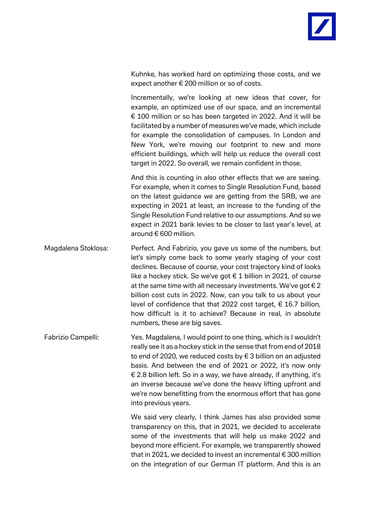Kuhnke, has worked hard on optimizing those costs, and we expect another € 200 million or so of costs.

Incrementally, we're looking at new ideas that cover, for example, an optimized use of our space, and an incremental € 100 million or so has been targeted in 2022. And it will be facilitated by a number of measures we've made, which include for example the consolidation of campuses. In London and New York, we're moving our footprint to new and more efficient buildings, which will help us reduce the overall cost target in 2022. So overall, we remain confident in those.

And this is counting in also other effects that we are seeing. For example, when it comes to Single Resolution Fund, based on the latest guidance we are getting from the SRB, we are expecting in 2021 at least, an increase to the funding of the Single Resolution Fund relative to our assumptions. And so we expect in 2021 bank levies to be closer to last year's level, at around € 600 million.

Magdalena Stoklosa: Perfect. And Fabrizio, you gave us some of the numbers, but let's simply come back to some yearly staging of your cost declines. Because of course, your cost trajectory kind of looks like a hockey stick. So we've got  $\epsilon$  1 billion in 2021, of course at the same time with all necessary investments. We've got  $\epsilon$  2 billion cost cuts in 2022. Now, can you talk to us about your level of confidence that that 2022 cost target, € 16.7 billion, how difficult is it to achieve? Because in real, in absolute numbers, these are big saves.

Fabrizio Campelli: Yes. Magdalena, I would point to one thing, which is I wouldn't really see it as a hockey stick in the sense that from end of 2018 to end of 2020, we reduced costs by € 3 billion on an adjusted basis. And between the end of 2021 or 2022, it's now only € 2.8 billion left. So in a way, we have already, if anything, it's an inverse because we've done the heavy lifting upfront and we're now benefitting from the enormous effort that has gone into previous years.

> We said very clearly, I think James has also provided some transparency on this, that in 2021, we decided to accelerate some of the investments that will help us make 2022 and beyond more efficient. For example, we transparently showed that in 2021, we decided to invest an incremental € 300 million on the integration of our German IT platform. And this is an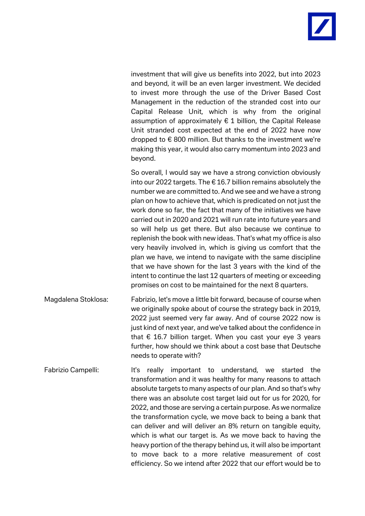investment that will give us benefits into 2022, but into 2023 and beyond, it will be an even larger investment. We decided to invest more through the use of the Driver Based Cost Management in the reduction of the stranded cost into our Capital Release Unit, which is why from the original assumption of approximately  $\epsilon$  1 billion, the Capital Release Unit stranded cost expected at the end of 2022 have now dropped to  $\epsilon$  800 million. But thanks to the investment we're making this year, it would also carry momentum into 2023 and beyond.

So overall, I would say we have a strong conviction obviously into our 2022 targets. The  $\epsilon$  16.7 billion remains absolutely the number we are committed to. And we see and we have a strong plan on how to achieve that, which is predicated on not just the work done so far, the fact that many of the initiatives we have carried out in 2020 and 2021 will run rate into future years and so will help us get there. But also because we continue to replenish the book with new ideas. That's what my office is also very heavily involved in, which is giving us comfort that the plan we have, we intend to navigate with the same discipline that we have shown for the last 3 years with the kind of the intent to continue the last 12 quarters of meeting or exceeding promises on cost to be maintained for the next 8 quarters.

- Magdalena Stoklosa: Fabrizio, let's move a little bit forward, because of course when we originally spoke about of course the strategy back in 2019, 2022 just seemed very far away. And of course 2022 now is just kind of next year, and we've talked about the confidence in that  $\epsilon$  16.7 billion target. When you cast your eye 3 years further, how should we think about a cost base that Deutsche needs to operate with?
- Fabrizio Campelli: It's really important to understand, we started the transformation and it was healthy for many reasons to attach absolute targets to many aspects of our plan. And so that's why there was an absolute cost target laid out for us for 2020, for 2022, and those are serving a certain purpose. As we normalize the transformation cycle, we move back to being a bank that can deliver and will deliver an 8% return on tangible equity, which is what our target is. As we move back to having the heavy portion of the therapy behind us, it will also be important to move back to a more relative measurement of cost efficiency. So we intend after 2022 that our effort would be to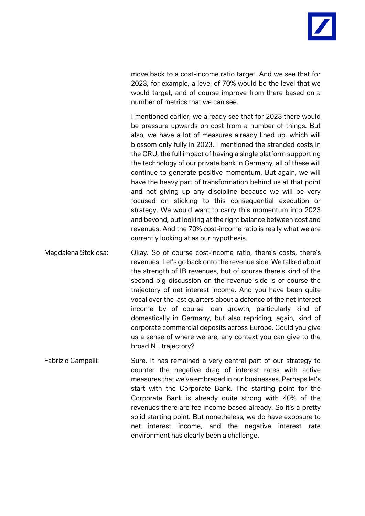move back to a cost-income ratio target. And we see that for 2023, for example, a level of 70% would be the level that we would target, and of course improve from there based on a number of metrics that we can see.

I mentioned earlier, we already see that for 2023 there would be pressure upwards on cost from a number of things. But also, we have a lot of measures already lined up, which will blossom only fully in 2023. I mentioned the stranded costs in the CRU, the full impact of having a single platform supporting the technology of our private bank in Germany, all of these will continue to generate positive momentum. But again, we will have the heavy part of transformation behind us at that point and not giving up any discipline because we will be very focused on sticking to this consequential execution or strategy. We would want to carry this momentum into 2023 and beyond, but looking at the right balance between cost and revenues. And the 70% cost-income ratio is really what we are currently looking at as our hypothesis.

- Magdalena Stoklosa: Okay. So of course cost-income ratio, there's costs, there's revenues. Let's go back onto the revenue side. We talked about the strength of IB revenues, but of course there's kind of the second big discussion on the revenue side is of course the trajectory of net interest income. And you have been quite vocal over the last quarters about a defence of the net interest income by of course loan growth, particularly kind of domestically in Germany, but also repricing, again, kind of corporate commercial deposits across Europe. Could you give us a sense of where we are, any context you can give to the broad NII trajectory?
- Fabrizio Campelli: Sure. It has remained a very central part of our strategy to counter the negative drag of interest rates with active measures that we've embraced in our businesses. Perhaps let's start with the Corporate Bank. The starting point for the Corporate Bank is already quite strong with 40% of the revenues there are fee income based already. So it's a pretty solid starting point. But nonetheless, we do have exposure to net interest income, and the negative interest rate environment has clearly been a challenge.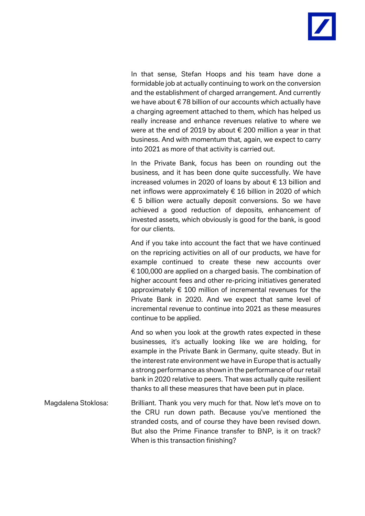

In that sense, Stefan Hoops and his team have done a formidable job at actually continuing to work on the conversion and the establishment of charged arrangement. And currently we have about € 78 billion of our accounts which actually have a charging agreement attached to them, which has helped us really increase and enhance revenues relative to where we were at the end of 2019 by about € 200 million a year in that business. And with momentum that, again, we expect to carry into 2021 as more of that activity is carried out.

In the Private Bank, focus has been on rounding out the business, and it has been done quite successfully. We have increased volumes in 2020 of loans by about € 13 billion and net inflows were approximately € 16 billion in 2020 of which € 5 billion were actually deposit conversions. So we have achieved a good reduction of deposits, enhancement of invested assets, which obviously is good for the bank, is good for our clients.

And if you take into account the fact that we have continued on the repricing activities on all of our products, we have for example continued to create these new accounts over € 100,000 are applied on a charged basis. The combination of higher account fees and other re-pricing initiatives generated approximately  $\epsilon$  100 million of incremental revenues for the Private Bank in 2020. And we expect that same level of incremental revenue to continue into 2021 as these measures continue to be applied.

And so when you look at the growth rates expected in these businesses, it's actually looking like we are holding, for example in the Private Bank in Germany, quite steady. But in the interest rate environment we have in Europe that is actually a strong performance as shown in the performance of our retail bank in 2020 relative to peers. That was actually quite resilient thanks to all these measures that have been put in place.

Magdalena Stoklosa: Brilliant. Thank you very much for that. Now let's move on to the CRU run down path. Because you've mentioned the stranded costs, and of course they have been revised down. But also the Prime Finance transfer to BNP, is it on track? When is this transaction finishing?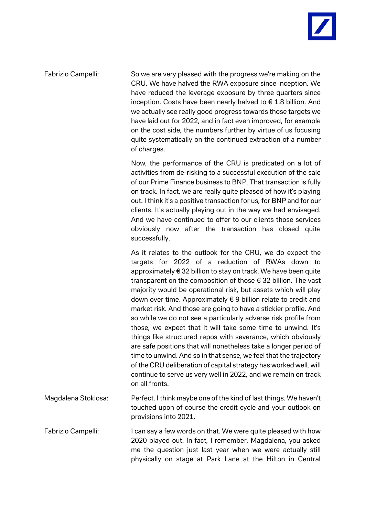

Fabrizio Campelli: So we are very pleased with the progress we're making on the CRU. We have halved the RWA exposure since inception. We have reduced the leverage exposure by three quarters since inception. Costs have been nearly halved to  $\epsilon$  1.8 billion. And we actually see really good progress towards those targets we have laid out for 2022, and in fact even improved, for example on the cost side, the numbers further by virtue of us focusing quite systematically on the continued extraction of a number of charges.

> Now, the performance of the CRU is predicated on a lot of activities from de-risking to a successful execution of the sale of our Prime Finance business to BNP. That transaction is fully on track. In fact, we are really quite pleased of how it's playing out. I think it's a positive transaction for us, for BNP and for our clients. It's actually playing out in the way we had envisaged. And we have continued to offer to our clients those services obviously now after the transaction has closed quite successfully.

> As it relates to the outlook for the CRU, we do expect the targets for 2022 of a reduction of RWAs down to approximately € 32 billion to stay on track. We have been quite transparent on the composition of those € 32 billion. The vast majority would be operational risk, but assets which will play down over time. Approximately € 9 billion relate to credit and market risk. And those are going to have a stickier profile. And so while we do not see a particularly adverse risk profile from those, we expect that it will take some time to unwind. It's things like structured repos with severance, which obviously are safe positions that will nonetheless take a longer period of time to unwind. And so in that sense, we feel that the trajectory of the CRU deliberation of capital strategy has worked well, will continue to serve us very well in 2022, and we remain on track on all fronts.

Magdalena Stoklosa: Perfect. I think maybe one of the kind of last things. We haven't touched upon of course the credit cycle and your outlook on provisions into 2021.

Fabrizio Campelli: I can say a few words on that. We were quite pleased with how 2020 played out. In fact, I remember, Magdalena, you asked me the question just last year when we were actually still physically on stage at Park Lane at the Hilton in Central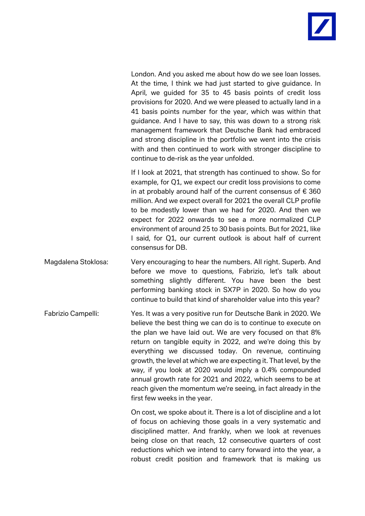London. And you asked me about how do we see loan losses. At the time, I think we had just started to give guidance. In April, we guided for 35 to 45 basis points of credit loss provisions for 2020. And we were pleased to actually land in a 41 basis points number for the year, which was within that guidance. And I have to say, this was down to a strong risk management framework that Deutsche Bank had embraced and strong discipline in the portfolio we went into the crisis with and then continued to work with stronger discipline to continue to de-risk as the year unfolded.

If I look at 2021, that strength has continued to show. So for example, for Q1, we expect our credit loss provisions to come in at probably around half of the current consensus of  $\epsilon$  360 million. And we expect overall for 2021 the overall CLP profile to be modestly lower than we had for 2020. And then we expect for 2022 onwards to see a more normalized CLP environment of around 25 to 30 basis points. But for 2021, like I said, for Q1, our current outlook is about half of current consensus for DB.

- Magdalena Stoklosa: Very encouraging to hear the numbers. All right. Superb. And before we move to questions, Fabrizio, let's talk about something slightly different. You have been the best performing banking stock in SX7P in 2020. So how do you continue to build that kind of shareholder value into this year?
- Fabrizio Campelli: Yes. It was a very positive run for Deutsche Bank in 2020. We believe the best thing we can do is to continue to execute on the plan we have laid out. We are very focused on that 8% return on tangible equity in 2022, and we're doing this by everything we discussed today. On revenue, continuing growth, the level at which we are expecting it. That level, by the way, if you look at 2020 would imply a 0.4% compounded annual growth rate for 2021 and 2022, which seems to be at reach given the momentum we're seeing, in fact already in the first few weeks in the year.

On cost, we spoke about it. There is a lot of discipline and a lot of focus on achieving those goals in a very systematic and disciplined matter. And frankly, when we look at revenues being close on that reach, 12 consecutive quarters of cost reductions which we intend to carry forward into the year, a robust credit position and framework that is making us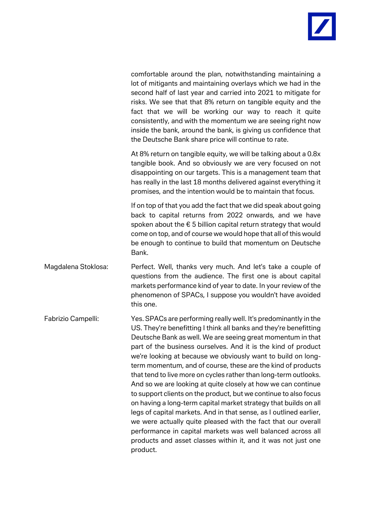comfortable around the plan, notwithstanding maintaining a lot of mitigants and maintaining overlays which we had in the second half of last year and carried into 2021 to mitigate for risks. We see that that 8% return on tangible equity and the fact that we will be working our way to reach it quite consistently, and with the momentum we are seeing right now inside the bank, around the bank, is giving us confidence that the Deutsche Bank share price will continue to rate.

At 8% return on tangible equity, we will be talking about a 0.8x tangible book. And so obviously we are very focused on not disappointing on our targets. This is a management team that has really in the last 18 months delivered against everything it promises, and the intention would be to maintain that focus.

If on top of that you add the fact that we did speak about going back to capital returns from 2022 onwards, and we have spoken about the € 5 billion capital return strategy that would come on top, and of course we would hope that all of this would be enough to continue to build that momentum on Deutsche Bank.

- Magdalena Stoklosa: Perfect. Well, thanks very much. And let's take a couple of questions from the audience. The first one is about capital markets performance kind of year to date. In your review of the phenomenon of SPACs, I suppose you wouldn't have avoided this one.
- Fabrizio Campelli: Yes. SPACs are performing really well. It's predominantly in the US. They're benefitting I think all banks and they're benefitting Deutsche Bank as well. We are seeing great momentum in that part of the business ourselves. And it is the kind of product we're looking at because we obviously want to build on longterm momentum, and of course, these are the kind of products that tend to live more on cycles rather than long-term outlooks. And so we are looking at quite closely at how we can continue to support clients on the product, but we continue to also focus on having a long-term capital market strategy that builds on all legs of capital markets. And in that sense, as I outlined earlier, we were actually quite pleased with the fact that our overall performance in capital markets was well balanced across all products and asset classes within it, and it was not just one product.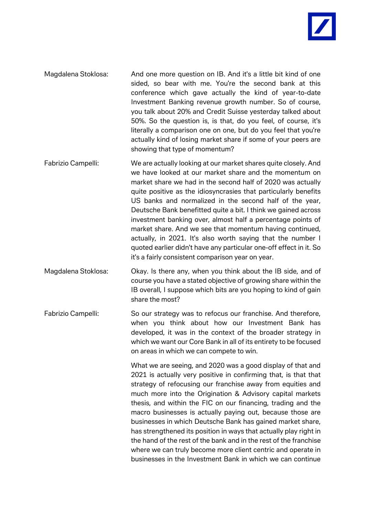- Magdalena Stoklosa: And one more question on IB. And it's a little bit kind of one sided, so bear with me. You're the second bank at this conference which gave actually the kind of year-to-date Investment Banking revenue growth number. So of course, you talk about 20% and Credit Suisse yesterday talked about 50%. So the question is, is that, do you feel, of course, it's literally a comparison one on one, but do you feel that you're actually kind of losing market share if some of your peers are showing that type of momentum?
- Fabrizio Campelli: We are actually looking at our market shares quite closely. And we have looked at our market share and the momentum on market share we had in the second half of 2020 was actually quite positive as the idiosyncrasies that particularly benefits US banks and normalized in the second half of the year, Deutsche Bank benefitted quite a bit. I think we gained across investment banking over, almost half a percentage points of market share. And we see that momentum having continued, actually, in 2021. It's also worth saying that the number I quoted earlier didn't have any particular one-off effect in it. So it's a fairly consistent comparison year on year.
- Magdalena Stoklosa: Okay. Is there any, when you think about the IB side, and of course you have a stated objective of growing share within the IB overall, I suppose which bits are you hoping to kind of gain share the most?
- Fabrizio Campelli: So our strategy was to refocus our franchise. And therefore, when you think about how our Investment Bank has developed, it was in the context of the broader strategy in which we want our Core Bank in all of its entirety to be focused on areas in which we can compete to win.

What we are seeing, and 2020 was a good display of that and 2021 is actually very positive in confirming that, is that that strategy of refocusing our franchise away from equities and much more into the Origination & Advisory capital markets thesis, and within the FIC on our financing, trading and the macro businesses is actually paying out, because those are businesses in which Deutsche Bank has gained market share, has strengthened its position in ways that actually play right in the hand of the rest of the bank and in the rest of the franchise where we can truly become more client centric and operate in businesses in the Investment Bank in which we can continue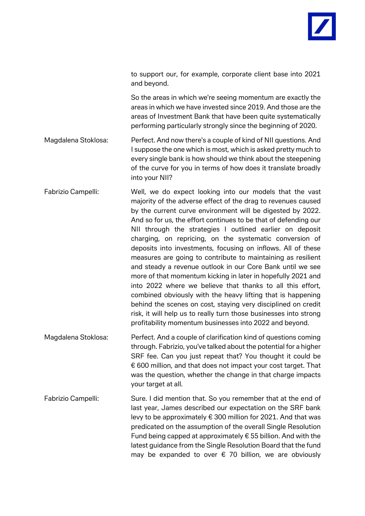to support our, for example, corporate client base into 2021 and beyond.

So the areas in which we're seeing momentum are exactly the areas in which we have invested since 2019. And those are the areas of Investment Bank that have been quite systematically performing particularly strongly since the beginning of 2020.

Magdalena Stoklosa: Perfect. And now there's a couple of kind of NII questions. And I suppose the one which is most, which is asked pretty much to every single bank is how should we think about the steepening of the curve for you in terms of how does it translate broadly into your NII?

Fabrizio Campelli: Well, we do expect looking into our models that the vast majority of the adverse effect of the drag to revenues caused by the current curve environment will be digested by 2022. And so for us, the effort continues to be that of defending our NII through the strategies I outlined earlier on deposit charging, on repricing, on the systematic conversion of deposits into investments, focusing on inflows. All of these measures are going to contribute to maintaining as resilient and steady a revenue outlook in our Core Bank until we see more of that momentum kicking in later in hopefully 2021 and into 2022 where we believe that thanks to all this effort, combined obviously with the heavy lifting that is happening behind the scenes on cost, staying very disciplined on credit risk, it will help us to really turn those businesses into strong profitability momentum businesses into 2022 and beyond.

Magdalena Stoklosa: Perfect. And a couple of clarification kind of questions coming through. Fabrizio, you've talked about the potential for a higher SRF fee. Can you just repeat that? You thought it could be € 600 million, and that does not impact your cost target. That was the question, whether the change in that charge impacts your target at all.

Fabrizio Campelli: Sure. I did mention that. So you remember that at the end of last year, James described our expectation on the SRF bank levy to be approximately  $\epsilon$  300 million for 2021. And that was predicated on the assumption of the overall Single Resolution Fund being capped at approximately  $\epsilon$  55 billion. And with the latest guidance from the Single Resolution Board that the fund may be expanded to over  $\epsilon$  70 billion, we are obviously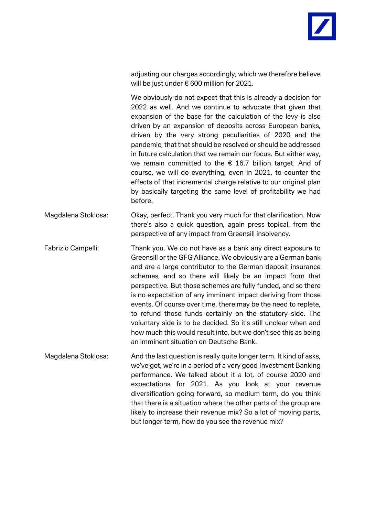adjusting our charges accordingly, which we therefore believe will be just under € 600 million for 2021.

We obviously do not expect that this is already a decision for 2022 as well. And we continue to advocate that given that expansion of the base for the calculation of the levy is also driven by an expansion of deposits across European banks, driven by the very strong peculiarities of 2020 and the pandemic, that that should be resolved or should be addressed in future calculation that we remain our focus. But either way, we remain committed to the  $\epsilon$  16.7 billion target. And of course, we will do everything, even in 2021, to counter the effects of that incremental charge relative to our original plan by basically targeting the same level of profitability we had before.

Magdalena Stoklosa: Okay, perfect. Thank you very much for that clarification. Now there's also a quick question, again press topical, from the perspective of any impact from Greensill insolvency.

Fabrizio Campelli: Thank you. We do not have as a bank any direct exposure to Greensill or the GFG Alliance. We obviously are a German bank and are a large contributor to the German deposit insurance schemes, and so there will likely be an impact from that perspective. But those schemes are fully funded, and so there is no expectation of any imminent impact deriving from those events. Of course over time, there may be the need to replete, to refund those funds certainly on the statutory side. The voluntary side is to be decided. So it's still unclear when and how much this would result into, but we don't see this as being an imminent situation on Deutsche Bank.

Magdalena Stoklosa: And the last question is really quite longer term. It kind of asks, we've got, we're in a period of a very good Investment Banking performance. We talked about it a lot, of course 2020 and expectations for 2021. As you look at your revenue diversification going forward, so medium term, do you think that there is a situation where the other parts of the group are likely to increase their revenue mix? So a lot of moving parts, but longer term, how do you see the revenue mix?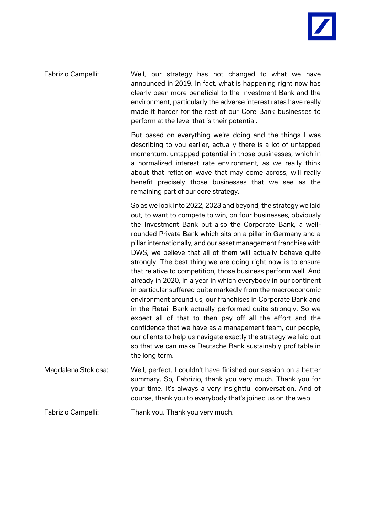Fabrizio Campelli: Well, our strategy has not changed to what we have announced in 2019. In fact, what is happening right now has clearly been more beneficial to the Investment Bank and the environment, particularly the adverse interest rates have really made it harder for the rest of our Core Bank businesses to perform at the level that is their potential.

> But based on everything we're doing and the things I was describing to you earlier, actually there is a lot of untapped momentum, untapped potential in those businesses, which in a normalized interest rate environment, as we really think about that reflation wave that may come across, will really benefit precisely those businesses that we see as the remaining part of our core strategy.

> So as we look into 2022, 2023 and beyond, the strategy we laid out, to want to compete to win, on four businesses, obviously the Investment Bank but also the Corporate Bank, a wellrounded Private Bank which sits on a pillar in Germany and a pillar internationally, and our asset management franchise with DWS, we believe that all of them will actually behave quite strongly. The best thing we are doing right now is to ensure that relative to competition, those business perform well. And already in 2020, in a year in which everybody in our continent in particular suffered quite markedly from the macroeconomic environment around us, our franchises in Corporate Bank and in the Retail Bank actually performed quite strongly. So we expect all of that to then pay off all the effort and the confidence that we have as a management team, our people, our clients to help us navigate exactly the strategy we laid out so that we can make Deutsche Bank sustainably profitable in the long term.

- Magdalena Stoklosa: Well, perfect. I couldn't have finished our session on a better summary. So, Fabrizio, thank you very much. Thank you for your time. It's always a very insightful conversation. And of course, thank you to everybody that's joined us on the web.
- Fabrizio Campelli: Thank you. Thank you very much.